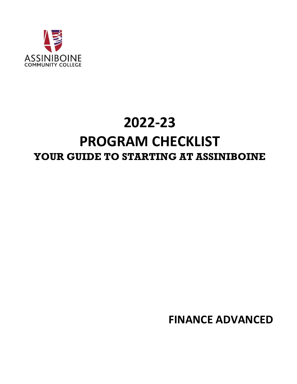

# **2022-23 PROGRAM CHECKLIST YOUR GUIDE TO STARTING AT ASSINIBOINE**

**FINANCE ADVANCED**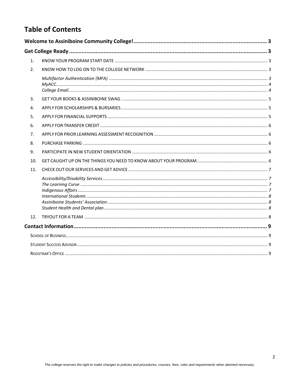# **Table of Contents**

| 1.  |  |  |  |  |  |  |
|-----|--|--|--|--|--|--|
| 2.  |  |  |  |  |  |  |
|     |  |  |  |  |  |  |
| 3.  |  |  |  |  |  |  |
| 4.  |  |  |  |  |  |  |
| 5.  |  |  |  |  |  |  |
| 6.  |  |  |  |  |  |  |
| 7.  |  |  |  |  |  |  |
| 8.  |  |  |  |  |  |  |
| 9.  |  |  |  |  |  |  |
| 10. |  |  |  |  |  |  |
| 11. |  |  |  |  |  |  |
|     |  |  |  |  |  |  |
| 12. |  |  |  |  |  |  |
|     |  |  |  |  |  |  |
|     |  |  |  |  |  |  |
|     |  |  |  |  |  |  |
|     |  |  |  |  |  |  |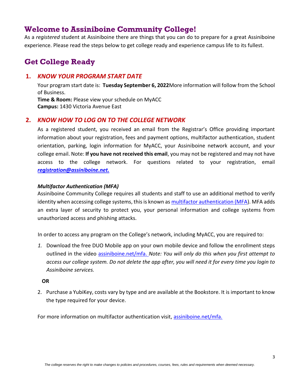# <span id="page-2-0"></span>**Welcome to Assiniboine Community College!**

As a *registered* student at Assiniboine there are things that you can do to prepare for a great Assiniboine experience. Please read the steps below to get college ready and experience campus life to its fullest.

# <span id="page-2-1"></span>**Get College Ready**

## <span id="page-2-2"></span>**1.** *KNOW YOUR PROGRAM START DATE*

Your program start date is: **Tuesday September 6, 2022**More information will follow from the School of Business.

**Time & Room:** Please view your schedule on MyACC **Campus:** 1430 Victoria Avenue East

# <span id="page-2-3"></span>**2.** *KNOW HOW TO LOG ON TO THE COLLEGE NETWORK*

As a registered student, you received an email from the Registrar's Office providing important information about your registration, fees and payment options, multifactor authentication, student orientation, parking, login information for MyACC, your Assiniboine network account, and your college email. Note: **If you have not received this email**, you may not be registered and may not have access to the college network. For questions related to your registration, email *[registration@assiniboine.net.](mailto:registration@assiniboine.net)*

### <span id="page-2-4"></span>*Multifactor Authentication (MFA)*

Assiniboine Community College requires all students and staff to use an additional method to verify identity when accessing college systems, this is known a[s multifactor authentication \(MFA\)](https://assiniboine.net/student-life/student-services/student-supports/multifactor-authentication-mfa). MFA adds an extra layer of security to protect you, your personal information and college systems from unauthorized access and phishing attacks.

In order to access any program on the College's network, including MyACC, you are required to:

*1.* Download the free DUO Mobile app on your own mobile device and follow the enrollment steps outlined in the video [assiniboine.net/mfa.](https://assiniboine.net/student-life/student-services/student-supports/multifactor-authentication-mfa) *Note: You will only do this when you first attempt to access our college system. Do not delete the app after, you will need it for every time you login to Assiniboine services.* 

#### **OR**

2. Purchase a YubiKey, costs vary by type and are available at the Bookstore. It is important to know the type required for your device.

For more information on multifactor authentication visit, [assiniboine.net/mfa.](https://assiniboine.net/student-life/student-services/student-supports/multifactor-authentication-mfa)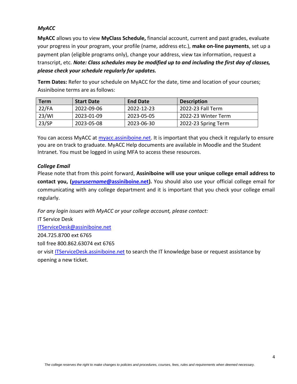### <span id="page-3-0"></span>*MyACC*

**MyACC** allows you to view **MyClass Schedule,** financial account, current and past grades, evaluate your progress in your program, your profile (name, address etc.), **make on-line payments**, set up a payment plan (eligible programs only), change your address, view tax information, request a transcript, etc. *Note: Class schedules may be modified up to and including the first day of classes, please check your schedule regularly for updates.*

**Term Dates:** Refer to your schedule on MyACC for the date, time and location of your courses; Assiniboine terms are as follows:

| Term     | <b>Start Date</b> | <b>End Date</b> | <b>Description</b>  |
|----------|-------------------|-----------------|---------------------|
| $22$ /FA | 2022-09-06        | 2022-12-23      | 2022-23 Fall Term   |
| 23/WI    | 2023-01-09        | 2023-05-05      | 2022-23 Winter Term |
| 23/SP    | 2023-05-08        | 2023-06-30      | 2022-23 Spring Term |

You can access MyACC at [myacc.assiniboine.net.](http://myacc.assiniboine.net/) It is important that you check it regularly to ensure you are on track to graduate. MyACC Help documents are available in Moodle and the Student Intranet. You must be logged in using MFA to access these resources.

#### <span id="page-3-1"></span>*College Email*

Please note that from this point forward, **Assiniboine will use your unique college email address to contact you, (***yourusername***[@assiniboine.net\)](mailto:yourusername@assiniboine.net).** You should also use your official college email for communicating with any college department and it is important that you check your college email regularly.

*For any login issues with MyACC or your college account, please contact:* 

IT Service Desk

[ITServiceDesk@assiniboine.net](mailto:itservicedesk@assiniboine.net)

204.725.8700 ext 6765

toll free 800.862.63074 ext 6765

or visit [ITServiceDesk.assiniboine.net](https://itservicedesk.assiniboine.net/) to search the IT knowledge base or request assistance by opening a new ticket.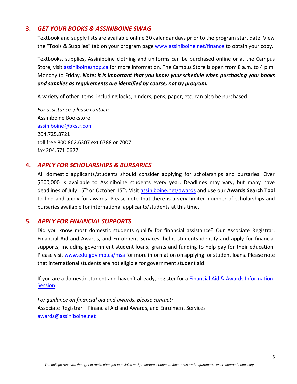## <span id="page-4-0"></span>**3.** *GET YOUR BOOKS & ASSINIBOINE SWAG*

Textbook and supply lists are available online 30 calendar days prior to the program start date. View the "Tools & Supplies" tab on your program page [www.assiniboine.net/finance](https://assiniboine.net/programs/finance) to obtain your copy.

Textbooks, supplies, Assiniboine clothing and uniforms can be purchased online or at the Campus Store, visit [assiniboineshop.ca](https://www.bkstr.com/assiniboineccstore/home/en) for more information. The Campus Store is open from 8 a.m. to 4 p.m. Monday to Friday. *Note: it is important that you know your schedule when purchasing your books and supplies as requirements are identified by course, not by program.*

A variety of other items, including locks, binders, pens, paper, etc. can also be purchased.

*For assistance, please contact:* Assiniboine Bookstore [assiniboine@bkstr.com](mailto:assiniboine@bkstr.com) 204.725.8721 toll free 800.862.6307 ext 6788 or 7007 fax 204.571.0627

#### <span id="page-4-1"></span>**4.** *APPLY FOR SCHOLARSHIPS & BURSARIES*

All domestic applicants/students should consider applying for scholarships and bursaries. Over \$600,000 is available to Assiniboine students every year. Deadlines may vary, but many have deadlines of July 15th or October 15th. Visit [assiniboine.net/awards](https://assiniboine.net/admissions/student-aid-awards/scholarships-bursaries) and use our **Awards Search Tool** to find and apply for awards. Please note that there is a very limited number of scholarships and bursaries available for international applicants/students at this time.

#### <span id="page-4-2"></span>**5.** *APPLY FOR FINANCIAL SUPPORTS*

Did you know most domestic students qualify for financial assistance? Our Associate Registrar, Financial Aid and Awards, and Enrolment Services, helps students identify and apply for financial supports, including government student loans, grants and funding to help pay for their education. Please visit [www.edu.gov.mb.ca/msa](http://www.edu.gov.mb.ca/msa) for more information on applying for student loans. Please note that international students are not eligible for government student aid.

If you are a domestic student and haven't already, register for a Financial Aid & Awards Information **[Session](https://assiniboine.net/study-here/visit-us/information-sessions)** 

*For guidance on financial aid and awards, please contact:* Associate Registrar – Financial Aid and Awards, and Enrolment Services [awards@assiniboine.net](mailto:awards@assiniboine.net)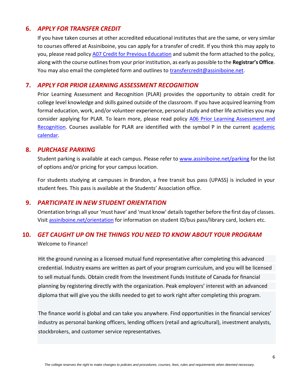# <span id="page-5-0"></span>**6.** *APPLY FOR TRANSFER CREDIT*

If you have taken courses at other accredited educational institutes that are the same, or very similar to courses offered at Assiniboine, you can apply for a transfer of credit. If you think this may apply to you, please read polic[y A07 Credit for Previous Education](https://assiniboine.net/sites/default/files/documents/2019-08/a07_1.pdf) and submit the form attached to the policy, along with the course outlines from your prior institution, as early as possible to the **Registrar's Office**. You may also email the completed form and outlines to [transfercredit@assiniboine.net.](mailto:transfercredit@assiniboine.net)

## <span id="page-5-1"></span>**7.** *APPLY FOR PRIOR LEARNING ASSESSMENT RECOGNITION*

Prior Learning Assessment and Recognition (PLAR) provides the opportunity to obtain credit for college level knowledge and skills gained outside of the classroom. If you have acquired learning from formal education, work, and/or volunteer experience, personal study and other life activities you may consider applying for PLAR. To learn more, please read policy [A06 Prior Learning Assessment and](https://assiniboine.net/sites/default/files/documents/2019-08/a06.pdf)  [Recognition.](https://assiniboine.net/sites/default/files/documents/2019-08/a06.pdf) Courses available for PLAR are identified with the symbol P in the current academic [calendar.](https://assiniboine.net/sites/default/files/2021-12/ProgramCalendar-2022-23%20WEB%20SPREAD.pdf)

## <span id="page-5-2"></span>**8.** *PURCHASE PARKING*

Student parking is available at each campus. Please refer to [www.assiniboine.net/parking](https://assiniboine.net/admissions/fees-payment/fees/parking) for the list of options and/or pricing for your campus location.

For students studying at campuses in Brandon, a free transit bus pass (UPASS) is included in your student fees. This pass is available at the Students' Association office.

# <span id="page-5-3"></span>**9.** *PARTICIPATE IN NEW STUDENT ORIENTATION*

Orientation brings all your 'must have' and 'must know' details together before the first day of classes. Visit [assiniboine.net/orientation](https://assiniboine.net/admissions/registrars-office/new-student-orientation) for information on student ID/bus pass/library card, lockers etc.

# <span id="page-5-4"></span>**10.** *GET CAUGHT UP ON THE THINGS YOU NEED TO KNOW ABOUT YOUR PROGRAM*

Welcome to Finance!

Hit the ground running as a licensed mutual fund representative after completing this advanced credential. Industry exams are written as part of your program curriculum, and you will be licensed to sell mutual funds. Obtain credit from the Investment Funds Institute of Canada for financial planning by registering directly with the organization. Peak employers' interest with an advanced diploma that will give you the skills needed to get to work right after completing this program.

The finance world is global and can take you anywhere. Find opportunities in the financial services' industry as personal banking officers, lending officers (retail and agricultural), investment analysts, stockbrokers, and customer service representatives.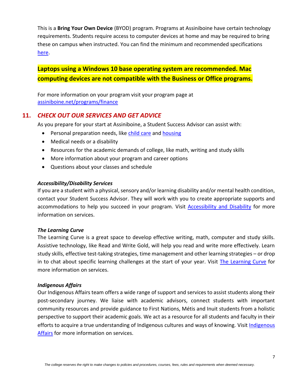This is a **Bring Your Own Device** (BYOD) program. Programs at Assiniboine have certain technology requirements. Students require access to computer devices at home and may be required to bring these on campus when instructed. You can find the minimum and recommended specifications [here.](https://assiniboine.net/student-life/resources-students/technology-requirements/bring-your-own-device-0)

**Laptops using a Windows 10 base operating system are recommended. Mac computing devices are not compatible with the Business or Office programs.**

For more information on your program visit your program page at [assiniboine.net/programs/finance](https://assiniboine.net/programs/finance)

# <span id="page-6-0"></span>**11.** *CHECK OUT OUR SERVICES AND GET ADVICE*

As you prepare for your start at Assiniboine, a Student Success Advisor can assist with:

- Personal preparation needs, like [child](https://assiniboine.net/student-life/resources-students/child-care) care and [housing](https://assiniboine.net/student-life/resources-students/housing-transportation)
- Medical needs or a disability
- Resources for the academic demands of college, like math, writing and study skills
- More information about your program and career options
- Questions about your classes and schedule

#### <span id="page-6-1"></span>*Accessibility/Disability Services*

If you are a student with a physical, sensory and/or learning disability and/or mental health condition, contact your Student Success Advisor. They will work with you to create appropriate supports and accommodations to help you succeed in your program. Visit [Accessibility and Disability](https://assiniboine.net/student-life/student-services/accessibility-and-disability) for more information on services.

#### <span id="page-6-2"></span>*The Learning Curve*

The Learning Curve is a great space to develop effective writing, math, computer and study skills. Assistive technology, like Read and Write Gold, will help you read and write more effectively. Learn study skills, effective test-taking strategies, time management and other learning strategies – or drop in to chat about specific learning challenges at the start of your year. Visit [The Learning Curve](https://assiniboine.net/student-life/student-services/learning-curve) for more information on services.

#### <span id="page-6-3"></span>*Indigenous Affairs*

Our Indigenous Affairs team offers a wide range of support and services to assist students along their post-secondary journey. We liaise with academic advisors, connect students with important community resources and provide guidance to First Nations, Métis and Inuit students from a holistic perspective to support their academic goals. We act as a resource for all students and faculty in their efforts to acquire a true understanding of Indigenous cultures and ways of knowing. Visit [Indigenous](https://assiniboine.net/student-life/indigenous-supports/indigenous-affairs)  [Affairs](https://assiniboine.net/student-life/indigenous-supports/indigenous-affairs) for more information on services.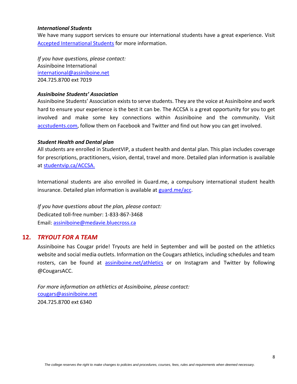#### <span id="page-7-0"></span>*International Students*

We have many support services to ensure our international students have a great experience. Visit [Accepted International Students](https://assiniboine.net/study-here/international-students/accepted-international-students) for more information.

*If you have questions, please contact:* Assiniboine International [international@assiniboine.net](mailto:international@assiniboine.net) 204.725.8700 ext 7019

#### <span id="page-7-1"></span>*Assiniboine Students' Association*

Assiniboine Students' Association exists to serve students. They are the voice at Assiniboine and work hard to ensure your experience is the best it can be. The ACCSA is a great opportunity for you to get involved and make some key connections within Assiniboine and the community. Visit [accstudents.com,](http://accstudents.com/) follow them on Facebook and Twitter and find out how you can get involved.

#### <span id="page-7-2"></span>*Student Health and Dental plan*

All students are enrolled in StudentVIP, a student health and dental plan. This plan includes coverage for prescriptions, practitioners, vision, dental, travel and more. Detailed plan information is available at [studentvip.ca/ACCSA.](https://studentvip.ca/Default.aspx)

International students are also enrolled in Guard.me, a compulsory international student health insurance. Detailed plan information is available at [guard.me/acc.](https://www.guard.me/acc)

*If you have questions about the plan, please contact:* Dedicated toll-free number: 1-833-867-3468 Email: [assiniboine@medavie.bluecross.ca](mailto:assiniboine@medavie.bluecross.ca)

#### <span id="page-7-3"></span>**12.** *TRYOUT FOR A TEAM*

Assiniboine has Cougar pride! Tryouts are held in September and will be posted on the athletics website and social media outlets. Information on the Cougars athletics, including schedules and team rosters, can be found at [assiniboine.net/athletics](https://assiniboine.net/student-life/athletics) or on Instagram and Twitter by following @CougarsACC.

*For more information on athletics at Assiniboine, please contact:* [cougars@assiniboine.net](mailto:cougars@assiniboine.net) 204.725.8700 ext 6340